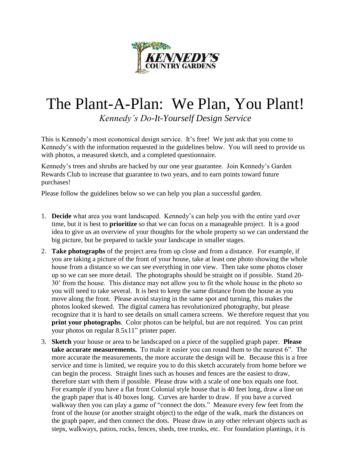

## The Plant-A-Plan: We Plan, You Plant!

*Kennedy's Do-It-Yourself Design Service*

This is Kennedy's most economical design service. It's free! We just ask that you come to Kennedy's with the information requested in the guidelines below. You will need to provide us with photos, a measured sketch, and a completed questionnaire.

Kennedy's trees and shrubs are backed by our one year guarantee. Join Kennedy's Garden Rewards Club to increase that guarantee to two years, and to earn points toward future purchases!

Please follow the guidelines below so we can help you plan a successful garden.

- 1. **Decide** what area you want landscaped. Kennedy's can help you with the entire yard over time, but it is best to **prioritize** so that we can focus on a manageable project. It is a good idea to give us an overview of your thoughts for the whole property so we can understand the big picture, but be prepared to tackle your landscape in smaller stages.
- 2. **Take photographs** of the project area from up close and from a distance. For example, if you are taking a picture of the front of your house, take at least one photo showing the whole house from a distance so we can see everything in one view. Then take some photos closer up so we can see more detail. The photographs should be straight on if possible. Stand 20- 30' from the house. This distance may not allow you to fit the whole house in the photo so you will need to take several. It is best to keep the same distance from the house as you move along the front. Please avoid staying in the same spot and turning, this makes the photos looked skewed. The digital camera has revolutionized photography, but please recognize that it is hard to see details on small camera screens. We therefore request that you **print your photographs**. Color photos can be helpful, but are not required. You can print your photos on regular 8.5x11" printer paper.
- 3. **Sketch** your house or area to be landscaped on a piece of the supplied graph paper. **Please take accurate measurements.** To make it easier you can round them to the nearest 6". The more accurate the measurements, the more accurate the design will be. Because this is a free service and time is limited, we require you to do this sketch accurately from home before we can begin the process. Straight lines such as houses and fences are the easiest to draw, therefore start with them if possible. Please draw with a scale of one box equals one foot. For example if you have a flat front Colonial style house that is 40 feet long, draw a line on the graph paper that is 40 boxes long. Curves are harder to draw. If you have a curved walkway then you can play a game of "connect the dots." Measure every few feet from the front of the house (or another straight object) to the edge of the walk, mark the distances on the graph paper, and then connect the dots. Please draw in any other relevant objects such as steps, walkways, patios, rocks, fences, sheds, tree trunks, etc. For foundation plantings, it is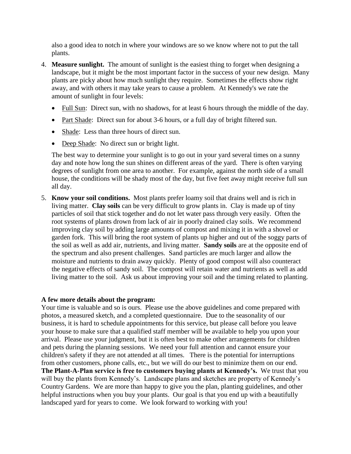also a good idea to notch in where your windows are so we know where not to put the tall plants.

- 4. **Measure sunlight.** The amount of sunlight is the easiest thing to forget when designing a landscape, but it might be the most important factor in the success of your new design. Many plants are picky about how much sunlight they require. Sometimes the effects show right away, and with others it may take years to cause a problem. At Kennedy's we rate the amount of sunlight in four levels:
	- Full Sun: Direct sun, with no shadows, for at least 6 hours through the middle of the day.
	- Part Shade: Direct sun for about 3-6 hours, or a full day of bright filtered sun.
	- Shade: Less than three hours of direct sun.
	- Deep Shade: No direct sun or bright light.

The best way to determine your sunlight is to go out in your yard several times on a sunny day and note how long the sun shines on different areas of the yard. There is often varying degrees of sunlight from one area to another. For example, against the north side of a small house, the conditions will be shady most of the day, but five feet away might receive full sun all day.

5. **Know your soil conditions.** Most plants prefer loamy soil that drains well and is rich in living matter. **Clay soils** can be very difficult to grow plants in. Clay is made up of tiny particles of soil that stick together and do not let water pass through very easily. Often the root systems of plants drown from lack of air in poorly drained clay soils. We recommend improving clay soil by adding large amounts of compost and mixing it in with a shovel or garden fork. This will bring the root system of plants up higher and out of the soggy parts of the soil as well as add air, nutrients, and living matter. **Sandy soils** are at the opposite end of the spectrum and also present challenges. Sand particles are much larger and allow the moisture and nutrients to drain away quickly. Plenty of good compost will also counteract the negative effects of sandy soil. The compost will retain water and nutrients as well as add living matter to the soil. Ask us about improving your soil and the timing related to planting.

## **A few more details about the program:**

Your time is valuable and so is ours. Please use the above guidelines and come prepared with photos, a measured sketch, and a completed questionnaire. Due to the seasonality of our business, it is hard to schedule appointments for this service, but please call before you leave your house to make sure that a qualified staff member will be available to help you upon your arrival. Please use your judgment, but it is often best to make other arrangements for children and pets during the planning sessions. We need your full attention and cannot ensure your children's safety if they are not attended at all times. There is the potential for interruptions from other customers, phone calls, etc., but we will do our best to minimize them on our end. **The Plant-A-Plan service is free to customers buying plants at Kennedy's.** We trust that you will buy the plants from Kennedy's. Landscape plans and sketches are property of Kennedy's Country Gardens. We are more than happy to give you the plan, planting guidelines, and other helpful instructions when you buy your plants. Our goal is that you end up with a beautifully landscaped yard for years to come. We look forward to working with you!